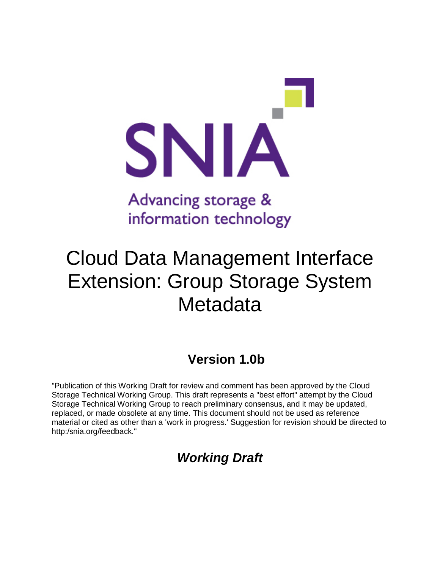

# information technology

## Cloud Data Management Interface Extension: Group Storage System **Metadata**

## **Version 1.0b**

"Publication of this Working Draft for review and comment has been approved by the Cloud Storage Technical Working Group. This draft represents a "best effort" attempt by the Cloud Storage Technical Working Group to reach preliminary consensus, and it may be updated, replaced, or made obsolete at any time. This document should not be used as reference material or cited as other than a 'work in progress.' Suggestion for revision should be directed to http:/snia.org/feedback."

## *Working Draft*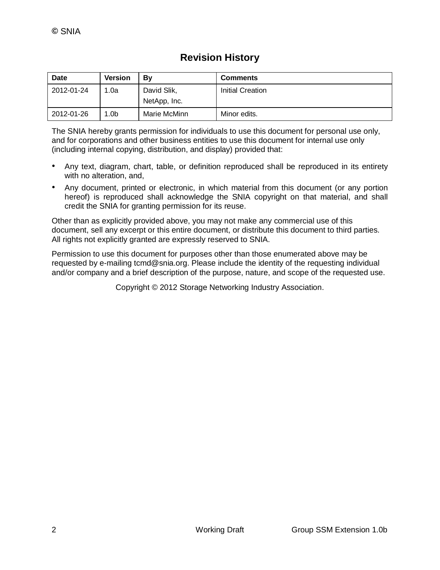| <b>Date</b> | <b>Version</b> | Bv                          | <b>Comments</b>  |
|-------------|----------------|-----------------------------|------------------|
| 2012-01-24  | 1.0a           | David Slik,<br>NetApp, Inc. | Initial Creation |
| 2012-01-26  | 1.0b           | Marie McMinn                | Minor edits.     |

The SNIA hereby grants permission for individuals to use this document for personal use only, and for corporations and other business entities to use this document for internal use only (including internal copying, distribution, and display) provided that:

- Any text, diagram, chart, table, or definition reproduced shall be reproduced in its entirety with no alteration, and,
- Any document, printed or electronic, in which material from this document (or any portion hereof) is reproduced shall acknowledge the SNIA copyright on that material, and shall credit the SNIA for granting permission for its reuse.

Other than as explicitly provided above, you may not make any commercial use of this document, sell any excerpt or this entire document, or distribute this document to third parties. All rights not explicitly granted are expressly reserved to SNIA.

Permission to use this document for purposes other than those enumerated above may be requested by e-mailing tcmd@snia.org. Please include the identity of the requesting individual and/or company and a brief description of the purpose, nature, and scope of the requested use.

Copyright © 2012 Storage Networking Industry Association.